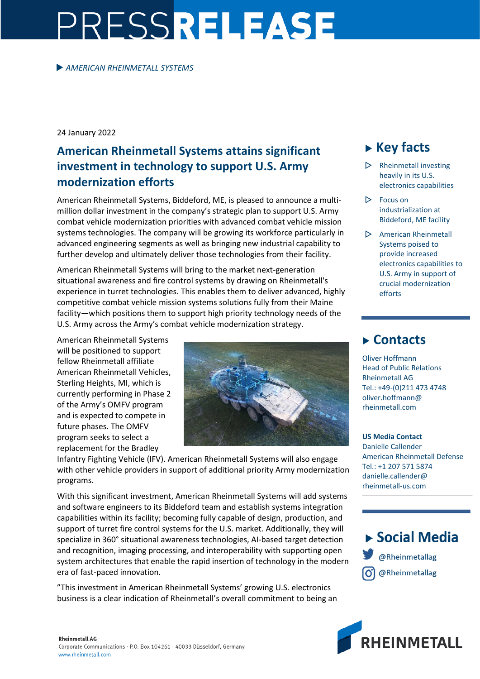# PRESSRELEASE

#### *AMERICAN RHEINMETALL SYSTEMS*

24 January 2022

## **American Rheinmetall Systems attains significant investment in technology to support U.S. Army modernization efforts**

American Rheinmetall Systems, Biddeford, ME, is pleased to announce a multimillion dollar investment in the company's strategic plan to support U.S. Army combat vehicle modernization priorities with advanced combat vehicle mission systems technologies. The company will be growing its workforce particularly in advanced engineering segments as well as bringing new industrial capability to further develop and ultimately deliver those technologies from their facility.

American Rheinmetall Systems will bring to the market next-generation situational awareness and fire control systems by drawing on Rheinmetall's experience in turret technologies. This enables them to deliver advanced, highly competitive combat vehicle mission systems solutions fully from their Maine facility—which positions them to support high priority technology needs of the U.S. Army across the Army's combat vehicle modernization strategy.

American Rheinmetall Systems will be positioned to support fellow Rheinmetall affiliate American Rheinmetall Vehicles, Sterling Heights, MI, which is currently performing in Phase 2 of the Army's OMFV program and is expected to compete in future phases. The OMFV program seeks to select a replacement for the Bradley



Infantry Fighting Vehicle (IFV). American Rheinmetall Systems will also engage with other vehicle providers in support of additional priority Army modernization programs.

With this significant investment, American Rheinmetall Systems will add systems and software engineers to its Biddeford team and establish systems integration capabilities within its facility; becoming fully capable of design, production, and support of turret fire control systems for the U.S. market. Additionally, they will specialize in 360° situational awareness technologies, AI-based target detection and recognition, imaging processing, and interoperability with supporting open system architectures that enable the rapid insertion of technology in the modern era of fast-paced innovation.

"This investment in American Rheinmetall Systems' growing U.S. electronics business is a clear indication of Rheinmetall's overall commitment to being an

# **Key facts**

- $\triangleright$  Rheinmetall investing heavily in its U.S. electronics capabilities
- $\triangleright$  Focus on industrialization at Biddeford, ME facility
- $\triangleright$  American Rheinmetall Systems poised to provide increased electronics capabilities to U.S. Army in support of crucial modernization efforts

## **Contacts**

Oliver Hoffmann Head of Public Relations Rheinmetall AG Tel.: +49-(0)211 473 4748 oliver.hoffmann@ rheinmetall.com

**US Media Contact** Danielle Callender American Rheinmetall Defense Tel.: +1 207 571 5874 danielle.callender@ rheinmetall-us.com

 $\triangleright$  Social Media @Rheinmetallag @Rheinmetallag